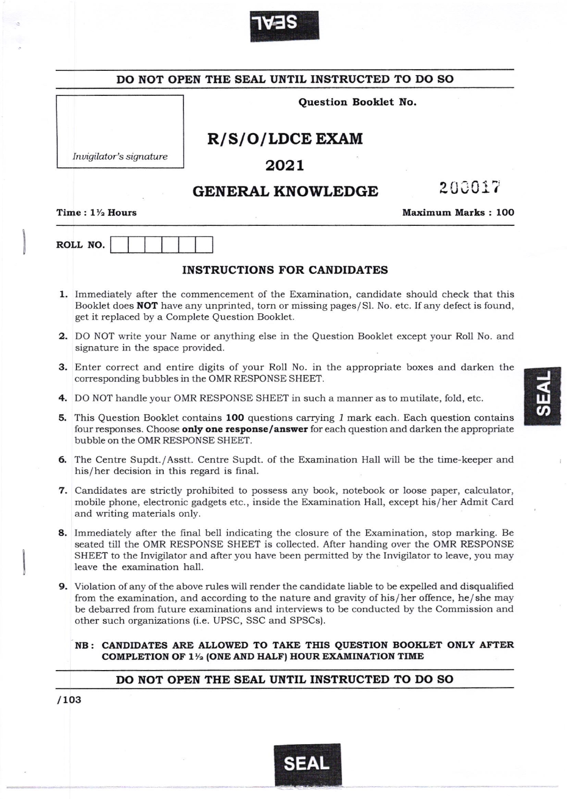

|                            | Question Booklet No.                                                                                                                                                                                                                                                                                                                                         |                                                                                                                                                         |                           |  |  |  |
|----------------------------|--------------------------------------------------------------------------------------------------------------------------------------------------------------------------------------------------------------------------------------------------------------------------------------------------------------------------------------------------------------|---------------------------------------------------------------------------------------------------------------------------------------------------------|---------------------------|--|--|--|
|                            |                                                                                                                                                                                                                                                                                                                                                              |                                                                                                                                                         |                           |  |  |  |
|                            |                                                                                                                                                                                                                                                                                                                                                              | R/S/O/LDCE EXAM                                                                                                                                         |                           |  |  |  |
|                            | Invigilator's signature                                                                                                                                                                                                                                                                                                                                      | 2021                                                                                                                                                    |                           |  |  |  |
|                            |                                                                                                                                                                                                                                                                                                                                                              | <b>GENERAL KNOWLEDGE</b>                                                                                                                                | 200017                    |  |  |  |
| Time: $1\frac{1}{2}$ Hours |                                                                                                                                                                                                                                                                                                                                                              |                                                                                                                                                         | <b>Maximum Marks: 100</b> |  |  |  |
|                            | ROLL NO.                                                                                                                                                                                                                                                                                                                                                     |                                                                                                                                                         |                           |  |  |  |
|                            |                                                                                                                                                                                                                                                                                                                                                              | <b>INSTRUCTIONS FOR CANDIDATES</b>                                                                                                                      |                           |  |  |  |
|                            | 1. Immediately after the commencement of the Examination, candidate should check that this<br>Booklet does <b>NOT</b> have any unprinted, torn or missing pages/Sl. No. etc. If any defect is found,<br>get it replaced by a Complete Question Booklet.                                                                                                      |                                                                                                                                                         |                           |  |  |  |
|                            | 2. DO NOT write your Name or anything else in the Question Booklet except your Roll No. and<br>signature in the space provided.                                                                                                                                                                                                                              |                                                                                                                                                         |                           |  |  |  |
|                            | 3. Enter correct and entire digits of your Roll No. in the appropriate boxes and darken the<br>corresponding bubbles in the OMR RESPONSE SHEET.                                                                                                                                                                                                              |                                                                                                                                                         |                           |  |  |  |
|                            |                                                                                                                                                                                                                                                                                                                                                              | 4. DO NOT handle your OMR RESPONSE SHEET in such a manner as to mutilate, fold, etc.                                                                    |                           |  |  |  |
|                            | <b>5.</b> This Question Booklet contains 100 questions carrying 1 mark each. Each question contains<br>four responses. Choose only one response/answer for each question and darken the appropriate<br>bubble on the OMR RESPONSE SHEET.                                                                                                                     |                                                                                                                                                         |                           |  |  |  |
|                            | 6. The Centre Supdt./Asstt. Centre Supdt. of the Examination Hall will be the time-keeper and<br>his/her decision in this regard is final.                                                                                                                                                                                                                   |                                                                                                                                                         |                           |  |  |  |
|                            | 7. Candidates are strictly prohibited to possess any book, notebook or loose paper, calculator,<br>mobile phone, electronic gadgets etc., inside the Examination Hall, except his/her Admit Card<br>and writing materials only.                                                                                                                              |                                                                                                                                                         |                           |  |  |  |
|                            | 8. Immediately after the final bell indicating the closure of the Examination, stop marking. Be<br>seated till the OMR RESPONSE SHEET is collected. After handing over the OMR RESPONSE<br>SHEET to the Invigilator and after you have been permitted by the Invigilator to leave, you may<br>leave the examination hall.                                    |                                                                                                                                                         |                           |  |  |  |
|                            | 9. Violation of any of the above rules will render the candidate liable to be expelled and disqualified<br>from the examination, and according to the nature and gravity of his/her offence, he/she may<br>be debarred from future examinations and interviews to be conducted by the Commission and<br>other such organizations (i.e. UPSC, SSC and SPSCs). |                                                                                                                                                         |                           |  |  |  |
|                            |                                                                                                                                                                                                                                                                                                                                                              | NB: CANDIDATES ARE ALLOWED TO TAKE THIS QUESTION BOOKLET ONLY AFTER<br>COMPLETION OF 1 <sup>1</sup> / <sub>2</sub> (ONE AND HALF) HOUR EXAMINATION TIME |                           |  |  |  |
|                            |                                                                                                                                                                                                                                                                                                                                                              | DO NOT OPEN THE SEAL UNTIL INSTRUCTED TO DO SO                                                                                                          |                           |  |  |  |

J

<u>u</u>  $\boldsymbol{\omega}$ 

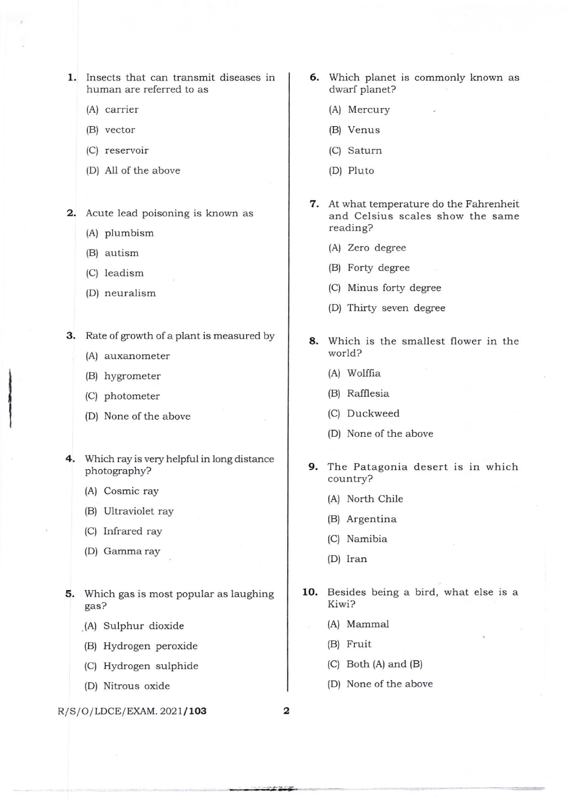1. Insects that can transmit diseases in human are referred to as

- (A) carrier
- (B) vector
- (C) reservoir
- (D) All of the above

2. Acute lead poisoning is known as

- (A) plumbism
- (B) autism
- (C) leadism
- (D) neuralism

3. Rate of growth of a plant is measured by

- (A) auxanometer
- (B) hygrometer
- (C) photometer
- (D) None of the above
- 4. Which ray is very helpful in long distance photography?
	- (A) Cosmic ray
	- (B) Ultraviolet ray
	- (C) Infrared ray
	- (D) Gamma ray
- 5. Which gas is most popular as laughing gas?
	- (A) Sulphur dioxide
	- (B) Hydrogen peroxide
	- (C) Hydrogen sulphide
	- (D) Nitrous oxide

## $R/S/O/LDCE/EXAMPLEXAM. 2021/103$  2

- 6. Which planet is commonly known as dwarf planet?
	- (A) Mercury
	- (B) Venus
	- (C) Saturn
	- (D) Pluto
- 7. At what temperature do the Fahrenheit and Celsius scales show the same reading?
	- (A) Zero degree
	- (B) Forty degree
	- (C) Minus forty degree
	- (D) Thirty seven degree
- 8. Which is the smallest flower in the world?
	- (A) Wolffia
	- (B) Rafflesia
	- (C) Duckweed
	- (D) None of the above
- 9. The Patagonia desert is in which country?
	- (A) North Chile
	- (B) Argentina
	- (C) Namibia
	- (D) Iran
- 10. Besides being a bird, what else is a Kiwi?
	- (A) Mammal
	- (B) Fruit
	- (C) Both (A) and (B)
	- (D) None of the above